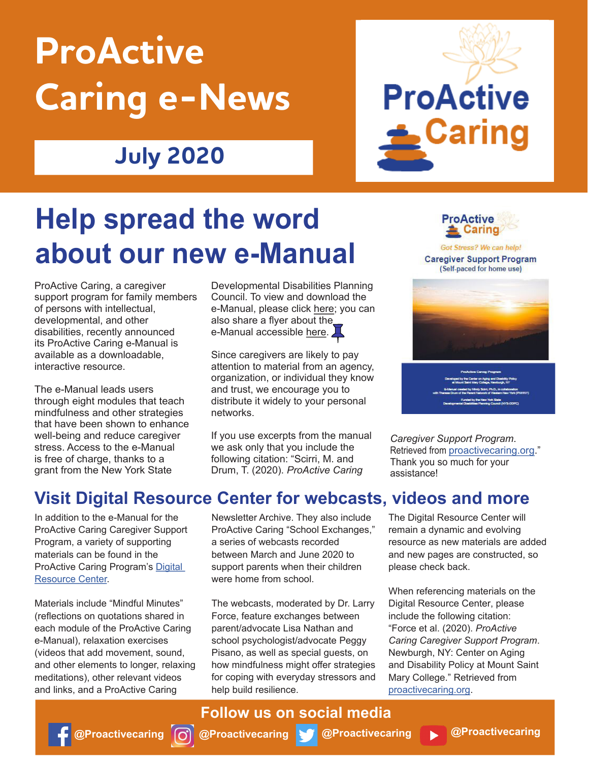# **ProActive Caring e-News**

### **July 2020**



## **Help spread the word about our new e-Manual**

ProActive Caring, a caregiver support program for family members of persons with intellectual, developmental, and other disabilities, recently announced its ProActive Caring e-Manual is available as a downloadable, interactive resource.

The e-Manual leads users through eight modules that teach mindfulness and other strategies that have been shown to enhance well-being and reduce caregiver stress. Access to the e-Manual is free of charge, thanks to a grant from the New York State

Developmental Disabilities Planning Council. To view and download the e-Manual, please click here; you can also share a flyer about the\_ e-Manual accessible here.

Since caregivers are likely to pay attention to material from an agency, organization, or individual they know and trust, we encourage you to distribute it widely to your personal networks.

If you use excerpts from the manual we ask only that you include the following citation: "Scirri, M. and Drum, T. (2020). *ProActive Caring* 



Got Stress? We can help! **Caregiver Support Program** (Self-paced for home use)



*Caregiver Support Program*.

Retrieved from proactivecaring.org." Thank you so much for your assistance!

#### **Visit Digital Resource Center for webcasts, videos and more**

In addition to the e-Manual for the ProActive Caring Caregiver Support Program, a variety of supporting materials can be found in the ProActive Caring Program's Digital Resource Center.

Materials include "Mindful Minutes" (reflections on quotations shared in each module of the ProActive Caring e-Manual), relaxation exercises (videos that add movement, sound, and other elements to longer, relaxing meditations), other relevant videos and links, and a ProActive Caring

Newsletter Archive. They also include ProActive Caring "School Exchanges," a series of webcasts recorded between March and June 2020 to support parents when their children were home from school.

The webcasts, moderated by Dr. Larry Force, feature exchanges between parent/advocate Lisa Nathan and school psychologist/advocate Peggy Pisano, as well as special guests, on how mindfulness might offer strategies for coping with everyday stressors and help build resilience.

The Digital Resource Center will remain a dynamic and evolving resource as new materials are added and new pages are constructed, so please check back.

When referencing materials on the Digital Resource Center, please include the following citation: "Force et al. (2020). *ProActive Caring Caregiver Support Program*. Newburgh, NY: Center on Aging and Disability Policy at Mount Saint Mary College." Retrieved from proactivecaring.org.

#### **Follow us on social media**

**@Proactivecaring**